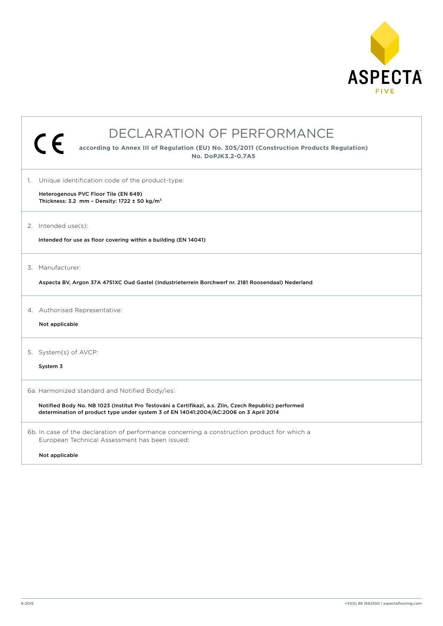

| DECLARATION OF PERFORMANCE                                                                                                                                                                                                                       |  |  |
|--------------------------------------------------------------------------------------------------------------------------------------------------------------------------------------------------------------------------------------------------|--|--|
| $\epsilon$<br>according to Annex III of Regulation (EU) No. 305/2011 (Construction Products Regulation)<br>No. DoPJK3.2-0.7A5                                                                                                                    |  |  |
| 1. Unique identification code of the product-type:<br>Heterogenous PVC Floor Tile (EN 649)<br>Thickness: 3.2 mm - Density: 1722 $\pm$ 50 kg/m <sup>3</sup>                                                                                       |  |  |
| 2. Intended use(s):<br>Intended for use as floor covering within a building (EN 14041)                                                                                                                                                           |  |  |
| 3. Manufacturer:<br>Aspecta BV, Argon 37A 4751XC Oud Gastel (Industrieterrein Borchwerf nr. 2181 Roosendaal) Nederland                                                                                                                           |  |  |
| 4. Authorised Representative:<br>Not applicable                                                                                                                                                                                                  |  |  |
| 5. System(s) of AVCP:<br>System 3                                                                                                                                                                                                                |  |  |
| 6a. Harmonized standard and Notified Body/ies:<br>Notified Body No. NB 1023 (Institut Pro Testováni a Certifikazi, a.s. Zlin, Czech Republic) performed<br>determination of product type under system 3 of EN 14041:2004/AC:2006 on 3 April 2014 |  |  |
| 6b. In case of the declaration of performance concerning a construction product for which a<br>European Technical Assessment has been issued:<br>Not applicable                                                                                  |  |  |
|                                                                                                                                                                                                                                                  |  |  |

 $\overline{1}$